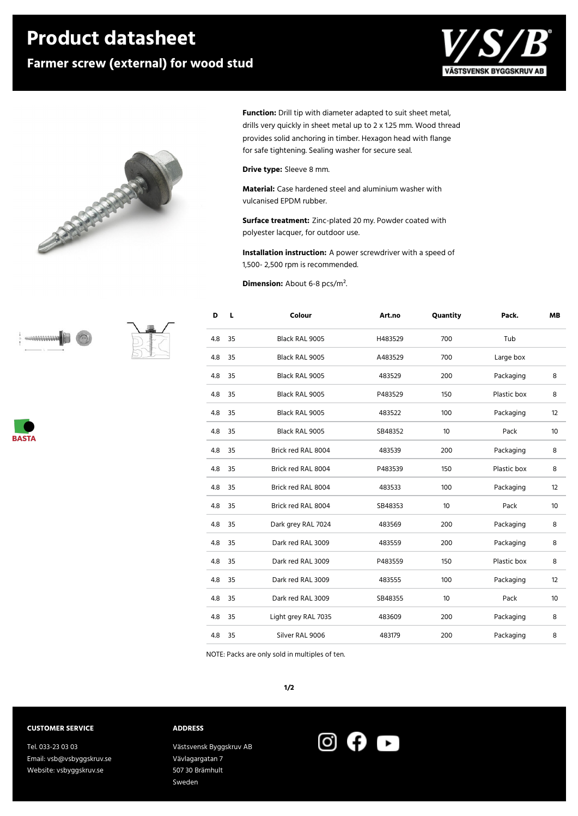## **Product datasheet**

### **Farmer screw (external) for wood stud**





**Function:** Drill tip with diameter adapted to suit sheet metal, drills very quickly in sheet metal up to 2 x 1.25 mm. Wood thread provides solid anchoring in timber. Hexagon head with flange for safe tightening. Sealing washer for secure seal.

**Drive type:** Sleeve 8 mm.

**Material:** Case hardened steel and aluminium washer with vulcanised EPDM rubber.

**Surface treatment:** Zinc-plated 20 my. Powder coated with polyester lacquer, for outdoor use.

**Installation instruction:** A power screwdriver with a speed of 1,500- 2,500 rpm is recommended.

**Dimension:** About 6-8 pcs/m².

| D   | L  | Colour              | Art.no  | Quantity | Pack.       | <b>MB</b> |
|-----|----|---------------------|---------|----------|-------------|-----------|
| 4.8 | 35 | Black RAL 9005      | H483529 | 700      | Tub         |           |
| 4.8 | 35 | Black RAL 9005      | A483529 | 700      | Large box   |           |
| 4.8 | 35 | Black RAL 9005      | 483529  | 200      | Packaging   | 8         |
| 4.8 | 35 | Black RAL 9005      | P483529 | 150      | Plastic box | 8         |
| 4.8 | 35 | Black RAL 9005      | 483522  | 100      | Packaging   | 12        |
| 4.8 | 35 | Black RAL 9005      | SB48352 | 10       | Pack        | 10        |
| 4.8 | 35 | Brick red RAL 8004  | 483539  | 200      | Packaging   | 8         |
| 4.8 | 35 | Brick red RAL 8004  | P483539 | 150      | Plastic box | 8         |
| 4.8 | 35 | Brick red RAL 8004  | 483533  | 100      | Packaging   | 12        |
| 4.8 | 35 | Brick red RAL 8004  | SB48353 | 10       | Pack        | 10        |
| 4.8 | 35 | Dark grey RAL 7024  | 483569  | 200      | Packaging   | 8         |
| 4.8 | 35 | Dark red RAL 3009   | 483559  | 200      | Packaging   | 8         |
| 4.8 | 35 | Dark red RAL 3009   | P483559 | 150      | Plastic box | 8         |
| 4.8 | 35 | Dark red RAL 3009   | 483555  | 100      | Packaging   | 12        |
| 4.8 | 35 | Dark red RAL 3009   | SB48355 | 10       | Pack        | 10        |
| 4.8 | 35 | Light grey RAL 7035 | 483609  | 200      | Packaging   | 8         |
| 4.8 | 35 | Silver RAL 9006     | 483179  | 200      | Packaging   | 8         |

NOTE: Packs are only sold in multiples of ten.

#### **1/2**

#### **CUSTOMER SERVICE**

**ANANANA** 

**BASTA** 

Tel. 033-23 03 03 Email: vsb@vsbyggskruv.se Website: vsbyggskruv.se

**ADDRESS**

Västsvensk Byggskruv AB Vävlagargatan 7 507 30 Brämhult Sweden